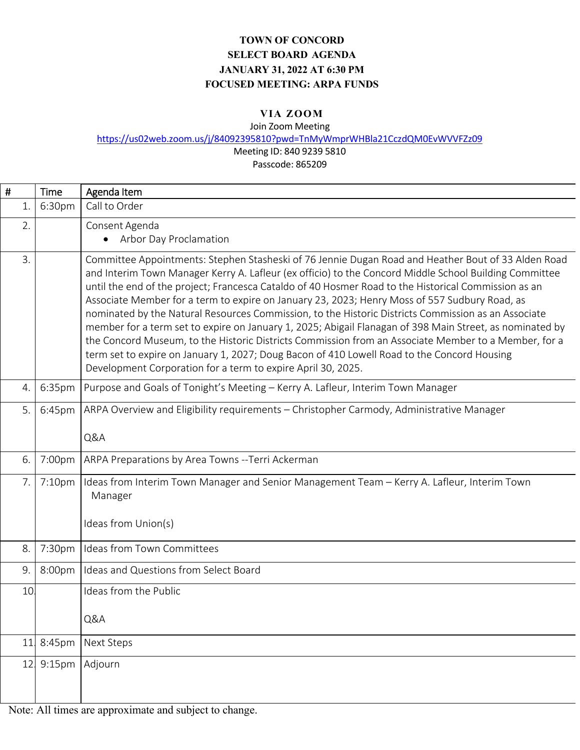## **TOWN OF CONCORD SELECT BOARD AGENDA JANUARY 31, 2022 AT 6:30 PM FOCUSED MEETING: ARPA FUNDS**

## **VIA ZOOM**

Join Zoom Meeting

https://us02web.zoom.us/j/84092395810?pwd=TnMyWmprWHBla21CczdQM0EvWVVFZz09

Meeting ID: 840 9239 5810

Passcode: 865209

| #  | <b>Time</b>        | Agenda Item                                                                                                                                                                                                                                                                                                                                                                                                                                                                                                                                                                                                                                                                                                                                                                                                                                                                                                      |
|----|--------------------|------------------------------------------------------------------------------------------------------------------------------------------------------------------------------------------------------------------------------------------------------------------------------------------------------------------------------------------------------------------------------------------------------------------------------------------------------------------------------------------------------------------------------------------------------------------------------------------------------------------------------------------------------------------------------------------------------------------------------------------------------------------------------------------------------------------------------------------------------------------------------------------------------------------|
| 1. | 6:30pm             | Call to Order                                                                                                                                                                                                                                                                                                                                                                                                                                                                                                                                                                                                                                                                                                                                                                                                                                                                                                    |
| 2. |                    | Consent Agenda                                                                                                                                                                                                                                                                                                                                                                                                                                                                                                                                                                                                                                                                                                                                                                                                                                                                                                   |
|    |                    | Arbor Day Proclamation<br>$\bullet$                                                                                                                                                                                                                                                                                                                                                                                                                                                                                                                                                                                                                                                                                                                                                                                                                                                                              |
| 3. |                    | Committee Appointments: Stephen Stasheski of 76 Jennie Dugan Road and Heather Bout of 33 Alden Road<br>and Interim Town Manager Kerry A. Lafleur (ex officio) to the Concord Middle School Building Committee<br>until the end of the project; Francesca Cataldo of 40 Hosmer Road to the Historical Commission as an<br>Associate Member for a term to expire on January 23, 2023; Henry Moss of 557 Sudbury Road, as<br>nominated by the Natural Resources Commission, to the Historic Districts Commission as an Associate<br>member for a term set to expire on January 1, 2025; Abigail Flanagan of 398 Main Street, as nominated by<br>the Concord Museum, to the Historic Districts Commission from an Associate Member to a Member, for a<br>term set to expire on January 1, 2027; Doug Bacon of 410 Lowell Road to the Concord Housing<br>Development Corporation for a term to expire April 30, 2025. |
| 4. | 6:35pm             | Purpose and Goals of Tonight's Meeting - Kerry A. Lafleur, Interim Town Manager                                                                                                                                                                                                                                                                                                                                                                                                                                                                                                                                                                                                                                                                                                                                                                                                                                  |
| 5. | 6:45pm             | ARPA Overview and Eligibility requirements - Christopher Carmody, Administrative Manager                                                                                                                                                                                                                                                                                                                                                                                                                                                                                                                                                                                                                                                                                                                                                                                                                         |
|    |                    | Q&A                                                                                                                                                                                                                                                                                                                                                                                                                                                                                                                                                                                                                                                                                                                                                                                                                                                                                                              |
| 6. | 7:00pm             | ARPA Preparations by Area Towns -- Terri Ackerman                                                                                                                                                                                                                                                                                                                                                                                                                                                                                                                                                                                                                                                                                                                                                                                                                                                                |
| 7. | 7:10 <sub>pm</sub> | Ideas from Interim Town Manager and Senior Management Team - Kerry A. Lafleur, Interim Town<br>Manager<br>Ideas from Union(s)                                                                                                                                                                                                                                                                                                                                                                                                                                                                                                                                                                                                                                                                                                                                                                                    |
| 8. | 7:30pm             | Ideas from Town Committees                                                                                                                                                                                                                                                                                                                                                                                                                                                                                                                                                                                                                                                                                                                                                                                                                                                                                       |
| 9. | 8:00pm             | Ideas and Questions from Select Board                                                                                                                                                                                                                                                                                                                                                                                                                                                                                                                                                                                                                                                                                                                                                                                                                                                                            |
| 10 |                    | Ideas from the Public                                                                                                                                                                                                                                                                                                                                                                                                                                                                                                                                                                                                                                                                                                                                                                                                                                                                                            |
|    |                    | Q&A                                                                                                                                                                                                                                                                                                                                                                                                                                                                                                                                                                                                                                                                                                                                                                                                                                                                                                              |
| 11 | 8:45pm             | <b>Next Steps</b>                                                                                                                                                                                                                                                                                                                                                                                                                                                                                                                                                                                                                                                                                                                                                                                                                                                                                                |
| 12 | 9:15 <sub>pm</sub> | Adjourn                                                                                                                                                                                                                                                                                                                                                                                                                                                                                                                                                                                                                                                                                                                                                                                                                                                                                                          |

Note: All times are approximate and subject to change.